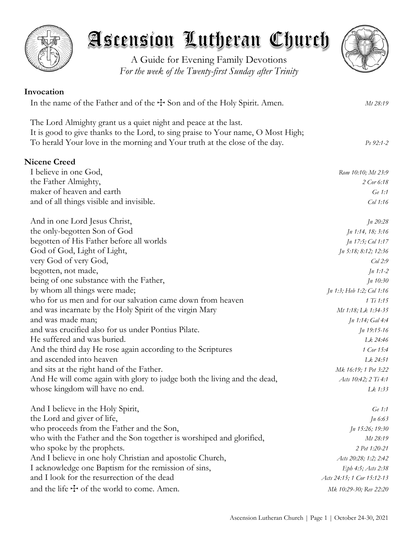

A Guide for Evening Family Devotions *For the week of the Twenty-first Sunday after Trinity*

# **Invocation** In the name of the Father and of the  $\pm$  Son and of the Holy Spirit. Amen. *Mt 28:19* The Lord Almighty grant us a quiet night and peace at the last. It is good to give thanks to the Lord, to sing praise to Your name, O Most High; To herald Your love in the morning and Your truth at the close of the day. *Ps 92:1-2* **Nicene Creed** I believe in one God, *Rom 10:10; Mt 23:9* the Father Almighty, *2 Cor 6:18* maker of heaven and earth *Ge 1:1* Ge 1:1 and of all things visible and invisible. *Col 1:16* And in one Lord Jesus Christ, *Jn 20:28* the only-begotten Son of God *Jn 1:14, 18; 3:16* begotten of His Father before all worlds *Jn 17:5; Col 1:17* God of God, Light of Light, *Jn 5:18; 8:12; 12:36* very God of very God, *Col 2:9* begotten, not made, *Jn 1:1-2* being of one substance with the Father, *Jn 10:30* by whom all things were made; *Jn 1:3; Heb 1:2; Col 1:16* who for us men and for our salvation came down from heaven *1 Ti 1:15* and was incarnate by the Holy Spirit of the virgin Mary *Mt 1:18; Lk 1:34-35* and was made man; *Jn 1:14; Gal 4:4* and was crucified also for us under Pontius Pilate. *Jn 19:15-16* He suffered and was buried. *Lk 24:46* And the third day He rose again according to the Scriptures *1 Cor 15:4* and ascended into heaven *Lk 24:51* and sits at the right hand of the Father. *Mk 16:19; 1 Pet 3:22* And He will come again with glory to judge both the living and the dead, *Acts 10:42; 2 Ti 4:1* whose kingdom will have no end. **Let us a line of the line of the line of the line of the line of the line of the line of the line of the line of the line of the line of the line of the line of the line of the line of the** And I believe in the Holy Spirit, *Ge 1:1* the Lord and giver of life, *Jn 6:63* who proceeds from the Father and the Son, *Jn 15:26; 19:30* who with the Father and the Son together is worshiped and glorified, *Mt 28:19* who spoke by the prophets. *2 Pet 1:20-21* And I believe in one holy Christian and apostolic Church, *<i>Acts 20:28; 1:2; 2:42* I acknowledge one Baptism for the remission of sins, *Eph 4:5; Acts 2:38* and I look for the resurrection of the dead *Acts 24:15; 1 Cor 15:12-13* and the life  $\pm$  of the world to come. Amen. *Mk 10:29-30; Rev 22:20*